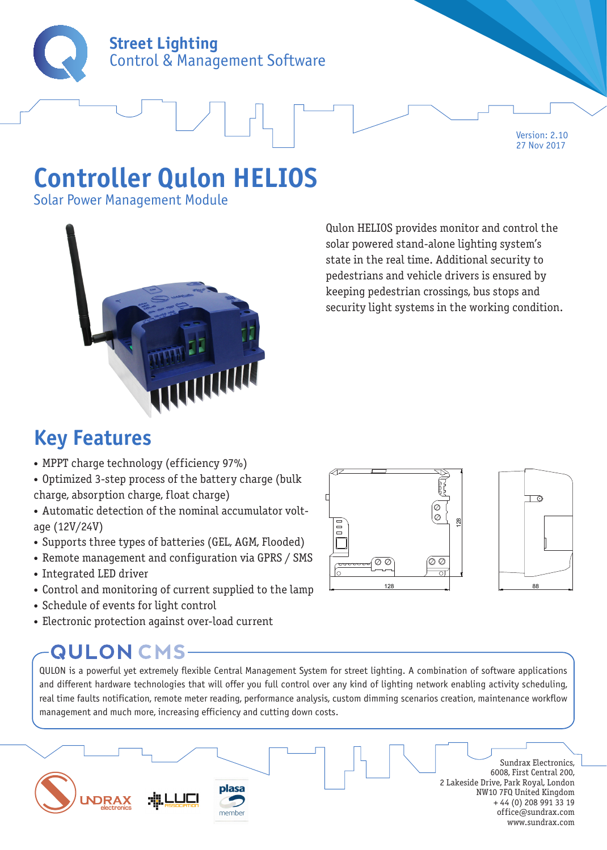

Version: 2.10 27 Nov 2017

# **Controller Qulon HELIOS**

Solar Power Management Module



Qulon HELIOS provides monitor and control the solar powered stand-alone lighting system's state in the real time. Additional security to pedestrians and vehicle drivers is ensured by keeping pedestrian crossings, bus stops and security light systems in the working condition.

### **Key Features**

- MPPT charge technology (efficiency 97%)
- Optimized 3-step process of the battery charge (bulk charge, absorption charge, float charge)
- Automatic detection of the nominal accumulator voltage (12V/24V)
- Supports three types of batteries (GEL, AGM, Flooded)
- Remote management and configuration via GPRS / SMS
- Integrated LED driver
- Control and monitoring of current supplied to the lamp
- Schedule of events for light control
- Electronic protection against over-load current

### **QULON CMS-**

QULON is a powerful yet extremely flexible Central Management System for street lighting. A combination of software applications and different hardware technologies that will offer you full control over any kind of lighting network enabling activity scheduling, real time faults notification, remote meter reading, performance analysis, custom dimming scenarios creation, maintenance workflow management and much more, increasing efficiency and cutting down costs.



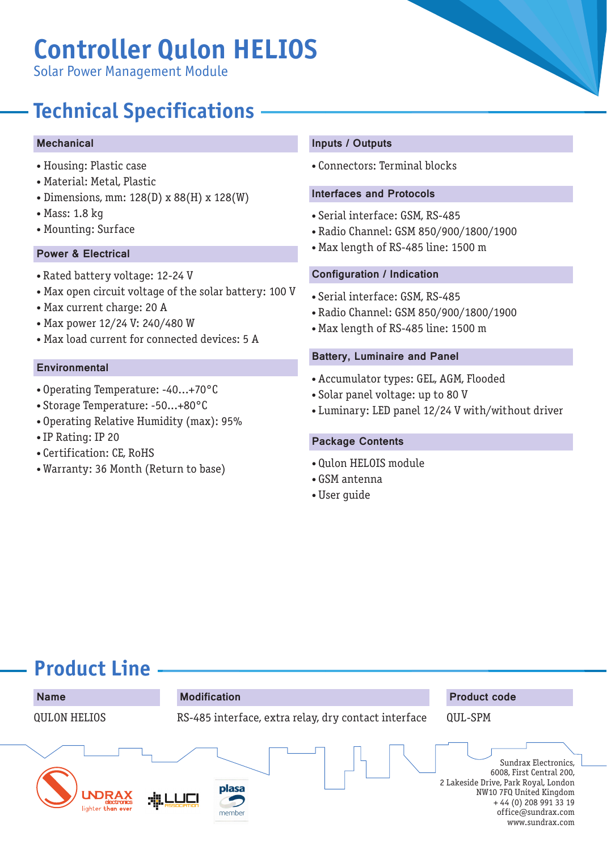# **Controller Qulon HELIOS**

Solar Power Management Module

## **Technical Specifications**

#### Mechanical

- Housing: Plastic case
- Material: Metal, Plastic
- Dimensions, mm: 128(D) x 88(H) x 128(W)
- Mass: 1.8 kg
- Mounting: Surface

### Power & Electrical

- Rated battery voltage: 12-24 V
- Max open circuit voltage of the solar battery: 100 V
- Max current charge: 20 A
- Max power 12/24 V: 240/480 W
- Max load current for connected devices: 5 A

#### **Environmental**

- Operating Temperature: -40...+70°C
- Storage Temperature: -50...+80°C
- Operating Relative Humidity (max): 95%
- IP Rating: IP 20
- Certification: CE, RoHS
- Warranty: 36 Month (Return to base)

#### Inputs / Outputs

• Connectors: Terminal blocks

#### Interfaces and Protocols

- Serial interface: GSM, RS-485
- Radio Channel: GSM 850/900/1800/1900
- Max length of RS-485 line: 1500 m

#### Configuration / Indication

- Serial interface: GSM, RS-485
- Radio Channel: GSM 850/900/1800/1900
- Max length of RS-485 line: 1500 m

#### Battery, Luminaire and Panel

- Accumulator types: GEL, AGM, Flooded
- Solar panel voltage: up to 80 V
- Luminary: LED panel 12/24 V with/without driver

#### Package Contents

- Qulon HELOIS module
- GSM antenna
- User guide